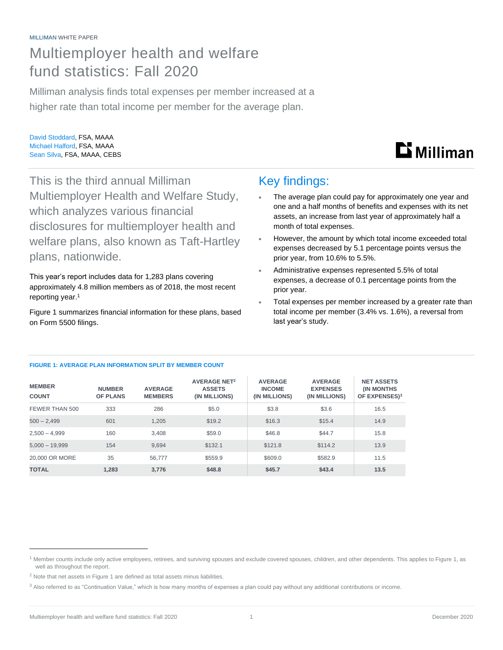#### MILLIMAN WHITE PAPER

## Multiemployer health and welfare fund statistics: Fall 2020

Milliman analysis finds total expenses per member increased at a higher rate than total income per member for the average plan.

David Stoddard, FSA, MAAA Michael Halford, FSA, MAAA Sean Silva, FSA, MAAA, CEBS



This is the third annual Milliman Multiemployer Health and Welfare Study, which analyzes various financial disclosures for multiemployer health and welfare plans, also known as Taft-Hartley plans, nationwide.

This year's report includes data for 1,283 plans covering approximately 4.8 million members as of 2018, the most recent reporting year. 1

Figure 1 summarizes financial information for these plans, based on Form 5500 filings.

### Key findings:

- The average plan could pay for approximately one year and one and a half months of benefits and expenses with its net assets, an increase from last year of approximately half a month of total expenses.
- However, the amount by which total income exceeded total expenses decreased by 5.1 percentage points versus the prior year, from 10.6% to 5.5%.
- Administrative expenses represented 5.5% of total expenses, a decrease of 0.1 percentage points from the prior year.
- Total expenses per member increased by a greater rate than total income per member (3.4% vs. 1.6%), a reversal from last year's study.

#### **FIGURE 1: AVERAGE PLAN INFORMATION SPLIT BY MEMBER COUNT**

| <b>MEMBER</b><br><b>COUNT</b> | <b>NUMBER</b><br><b>OF PLANS</b> | <b>AVERAGE</b><br><b>MEMBERS</b> | <b>AVERAGE NET<sup>2</sup></b><br><b>ASSETS</b><br>(IN MILLIONS) | <b>AVERAGE</b><br><b>INCOME</b><br>(IN MILLIONS) | <b>AVERAGE</b><br><b>EXPENSES</b><br>(IN MILLIONS) | <b>NET ASSETS</b><br><b>(IN MONTHS)</b><br>OF EXPENSES) <sup>3</sup> |
|-------------------------------|----------------------------------|----------------------------------|------------------------------------------------------------------|--------------------------------------------------|----------------------------------------------------|----------------------------------------------------------------------|
| FEWER THAN 500                | 333                              | 286                              | \$5.0                                                            | \$3.8                                            | \$3.6                                              | 16.5                                                                 |
| $500 - 2.499$                 | 601                              | 1.205                            | \$19.2                                                           | \$16.3                                           | \$15.4                                             | 14.9                                                                 |
| $2.500 - 4.999$               | 160                              | 3.408                            | \$59.0                                                           | \$46.8                                           | \$44.7                                             | 15.8                                                                 |
| $5,000 - 19,999$              | 154                              | 9.694                            | \$132.1                                                          | \$121.8                                          | \$114.2                                            | 13.9                                                                 |
| 20,000 OR MORE                | 35                               | 56.777                           | \$559.9                                                          | \$609.0                                          | \$582.9                                            | 11.5                                                                 |
| <b>TOTAL</b>                  | 1.283                            | 3.776                            | \$48.8                                                           | \$45.7                                           | \$43.4                                             | 13.5                                                                 |

 $^1$  Member counts include only active employees, retirees, and surviving spouses and exclude covered spouses, children, and other dependents. This applies to Figure 1, as well as throughout the report.

 $2$  Note that net assets in Figure 1 are defined as total assets minus liabilities.

<sup>&</sup>lt;sup>3</sup> Also referred to as "Continuation Value," which is how many months of expenses a plan could pay without any additional contributions or income.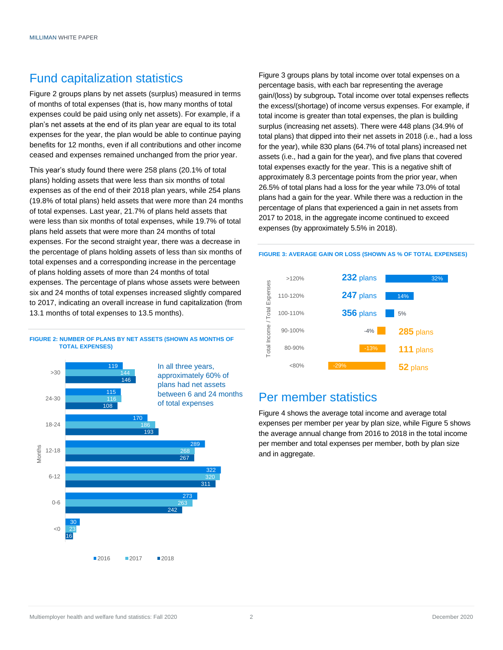### Fund capitalization statistics

Figure 2 groups plans by net assets (surplus) measured in terms of months of total expenses (that is, how many months of total expenses could be paid using only net assets). For example, if a plan's net assets at the end of its plan year are equal to its total expenses for the year, the plan would be able to continue paying benefits for 12 months, even if all contributions and other income ceased and expenses remained unchanged from the prior year.

This year's study found there were 258 plans (20.1% of total plans) holding assets that were less than six months of total expenses as of the end of their 2018 plan years, while 254 plans (19.8% of total plans) held assets that were more than 24 months of total expenses. Last year, 21.7% of plans held assets that were less than six months of total expenses, while 19.7% of total plans held assets that were more than 24 months of total expenses. For the second straight year, there was a decrease in the percentage of plans holding assets of less than six months of total expenses and a corresponding increase in the percentage of plans holding assets of more than 24 months of total expenses. The percentage of plans whose assets were between six and 24 months of total expenses increased slightly compared to 2017, indicating an overall increase in fund capitalization (from 13.1 months of total expenses to 13.5 months).





Figure 3 groups plans by total income over total expenses on a percentage basis, with each bar representing the average gain/(loss) by subgroup**.** Total income over total expenses reflects the excess/(shortage) of income versus expenses. For example, if total income is greater than total expenses, the plan is building surplus (increasing net assets). There were 448 plans (34.9% of total plans) that dipped into their net assets in 2018 (i.e., had a loss for the year), while 830 plans (64.7% of total plans) increased net assets (i.e., had a gain for the year), and five plans that covered total expenses exactly for the year. This is a negative shift of approximately 8.3 percentage points from the prior year, when 26.5% of total plans had a loss for the year while 73.0% of total plans had a gain for the year. While there was a reduction in the percentage of plans that experienced a gain in net assets from 2017 to 2018, in the aggregate income continued to exceed expenses (by approximately 5.5% in 2018).



**FIGURE 3: AVERAGE GAIN OR LOSS (SHOWN AS % OF TOTAL EXPENSES)**

### Per member statistics

Figure 4 shows the average total income and average total expenses per member per year by plan size, while Figure 5 shows the average annual change from 2016 to 2018 in the total income per member and total expenses per member, both by plan size and in aggregate.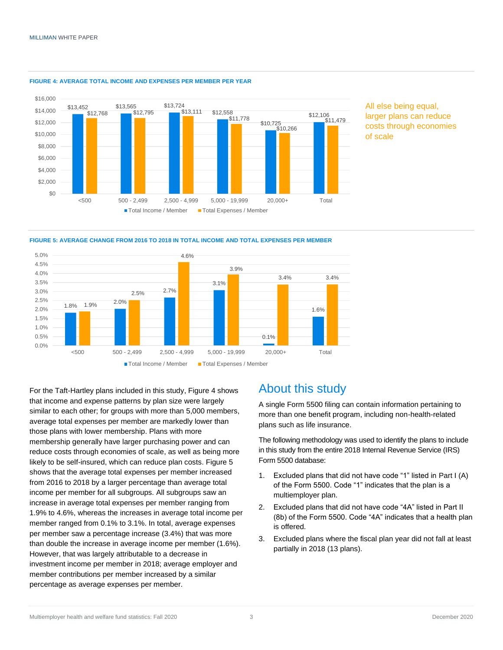

#### **FIGURE 4: AVERAGE TOTAL INCOME AND EXPENSES PER MEMBER PER YEAR**







For the Taft-Hartley plans included in this study, Figure 4 shows that income and expense patterns by plan size were largely similar to each other; for groups with more than 5,000 members, average total expenses per member are markedly lower than those plans with lower membership. Plans with more membership generally have larger purchasing power and can reduce costs through economies of scale, as well as being more likely to be self-insured, which can reduce plan costs. Figure 5 shows that the average total expenses per member increased from 2016 to 2018 by a larger percentage than average total income per member for all subgroups. All subgroups saw an increase in average total expenses per member ranging from 1.9% to 4.6%, whereas the increases in average total income per member ranged from 0.1% to 3.1%. In total, average expenses per member saw a percentage increase (3.4%) that was more than double the increase in average income per member (1.6%). However, that was largely attributable to a decrease in investment income per member in 2018; average employer and member contributions per member increased by a similar percentage as average expenses per member.

### About this study

A single Form 5500 filing can contain information pertaining to more than one benefit program, including non-health-related plans such as life insurance.

The following methodology was used to identify the plans to include in this study from the entire 2018 Internal Revenue Service (IRS) Form 5500 database:

- 1. Excluded plans that did not have code "1" listed in Part I (A) of the Form 5500. Code "1" indicates that the plan is a multiemployer plan.
- 2. Excluded plans that did not have code "4A" listed in Part II (8b) of the Form 5500. Code "4A" indicates that a health plan is offered.
- 3. Excluded plans where the fiscal plan year did not fall at least partially in 2018 (13 plans).